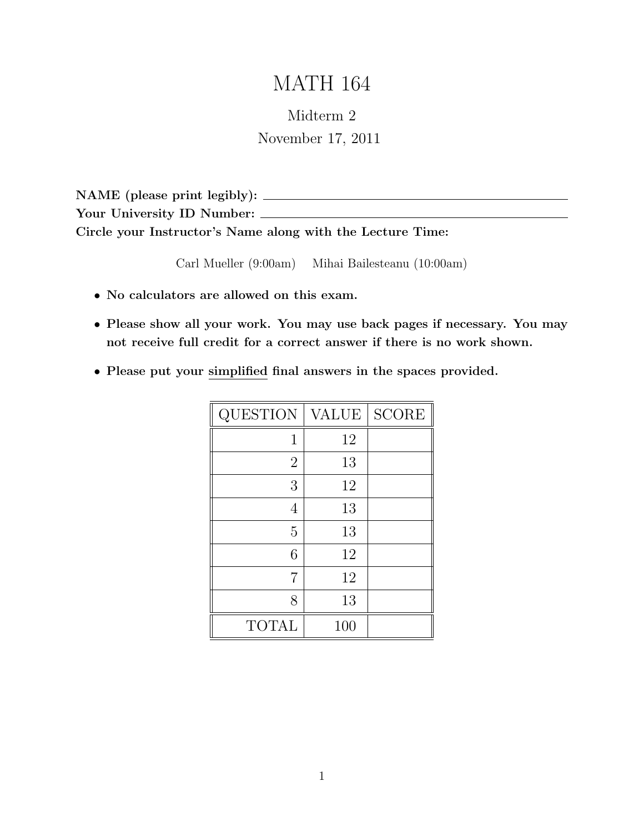# MATH 164

## Midterm 2 November 17, 2011

NAME (please print legibly): Your University ID Number: \_\_\_\_\_\_ Circle your Instructor's Name along with the Lecture Time:

Carl Mueller (9:00am) Mihai Bailesteanu (10:00am)

- No calculators are allowed on this exam.
- Please show all your work. You may use back pages if necessary. You may not receive full credit for a correct answer if there is no work shown.
- Please put your simplified final answers in the spaces provided.

| QUESTION       | <b>VALUE</b> | <b>SCORE</b> |
|----------------|--------------|--------------|
| 1              | 12           |              |
| $\overline{2}$ | 13           |              |
| 3              | 12           |              |
| 4              | 13           |              |
| 5              | 13           |              |
| 6              | 12           |              |
| 7              | 12           |              |
| 8              | 13           |              |
| <b>TOTAL</b>   | 100          |              |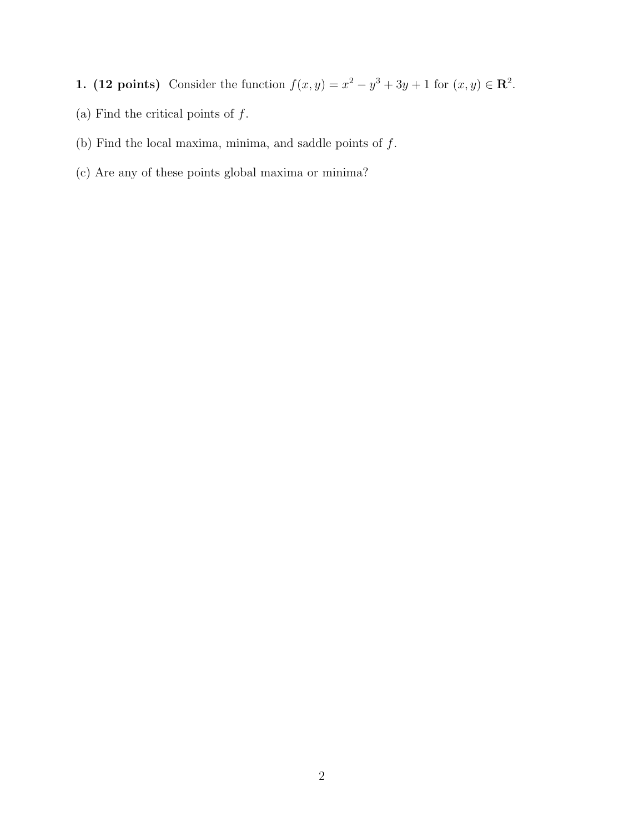- 1. (12 points) Consider the function  $f(x,y) = x^2 y^3 + 3y + 1$  for  $(x, y) \in \mathbb{R}^2$ .
- (a) Find the critical points of  $\boldsymbol{f}.$
- (b) Find the local maxima, minima, and saddle points of  $f.$
- (c) Are any of these points global maxima or minima?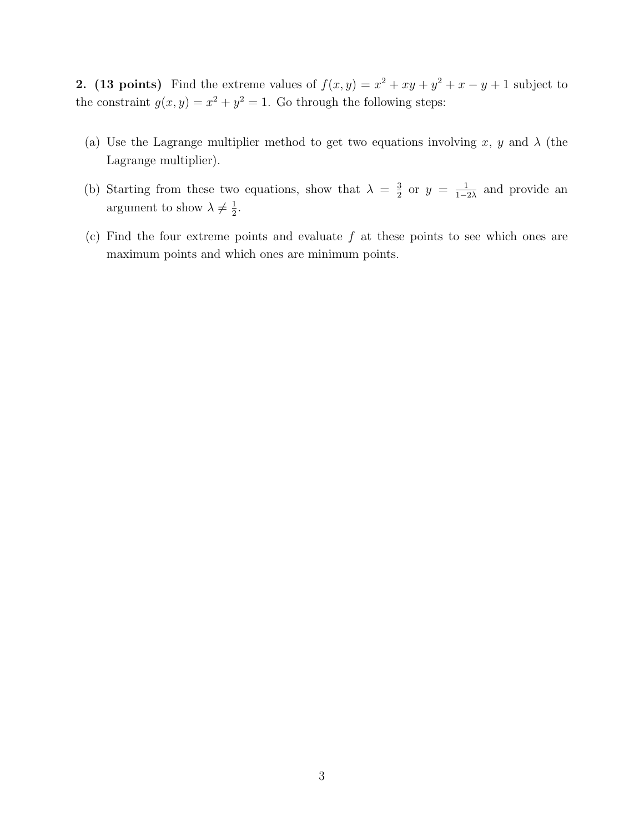2. (13 points) Find the extreme values of  $f(x,y) = x^2 + xy + y^2 + x - y + 1$  subject to the constraint  $g(x, y) = x^2 + y^2 = 1$ . Go through the following steps:

- (a) Use the Lagrange multiplier method to get two equations involving x, y and  $\lambda$  (the Lagrange multiplier).
- (b) Starting from these two equations, show that  $\lambda = \frac{3}{2}$  $\frac{3}{2}$  or  $y = \frac{1}{1-z}$  $\frac{1}{1-2\lambda}$  and provide an argument to show  $\lambda \neq \frac{1}{2}$  $\frac{1}{2}$ .
- (c) Find the four extreme points and evaluate  $f$  at these points to see which ones are maximum points and which ones are minimum points.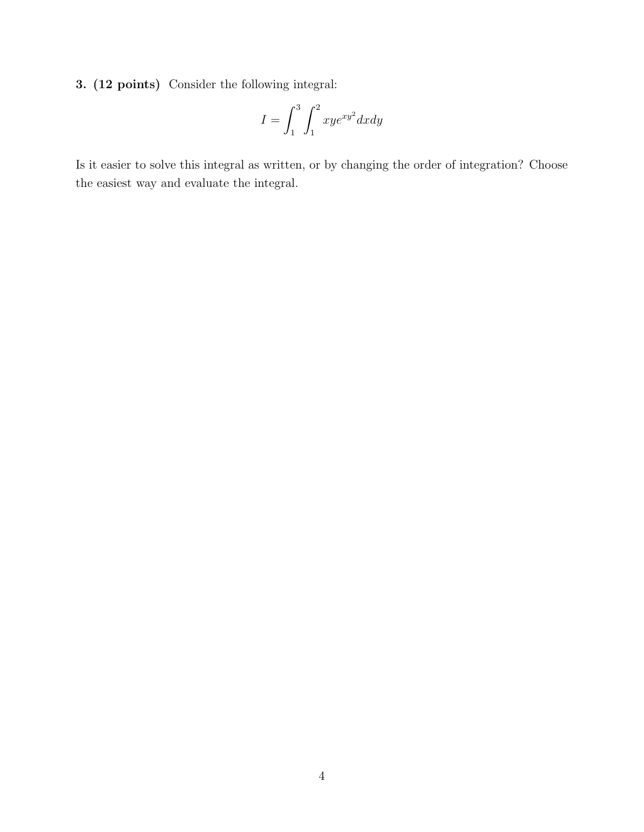3. (12 points) Consider the following integral:

$$
I = \int_1^3 \int_1^2 xye^{xy^2}dxdy
$$

Is it easier to solve this integral as written, or by changing the order of integration? Choose the easiest way and evaluate the integral.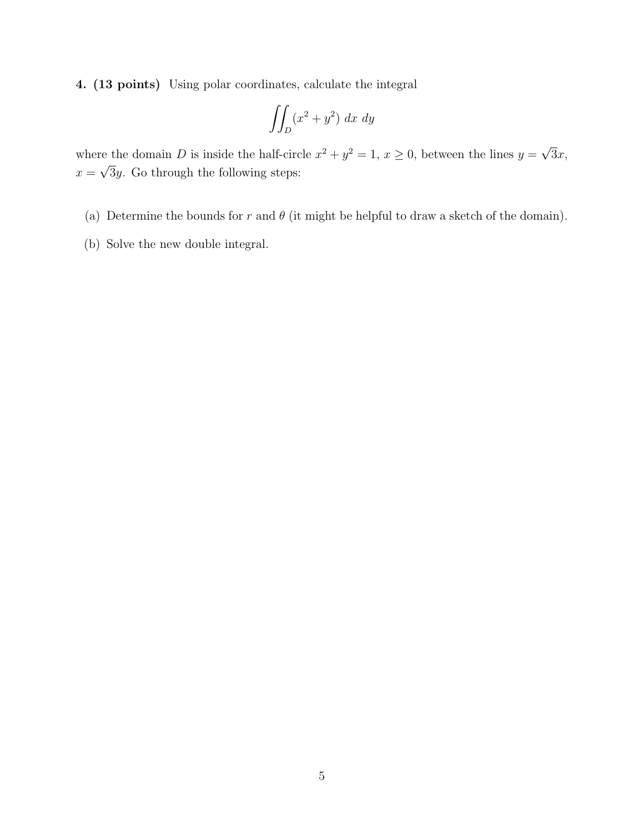4. (13 points) Using polar coordinates, calculate the integral

$$
\iint_D (x^2 + y^2) \ dx \ dy
$$

where the domain D is inside the half-circle  $x^2 + y^2 = 1$ ,  $x \ge 0$ , between the lines  $y =$ √ 3x,  $x =$ √ 3y. Go through the following steps:

- (a) Determine the bounds for r and  $\theta$  (it might be helpful to draw a sketch of the domain).
- (b) Solve the new double integral.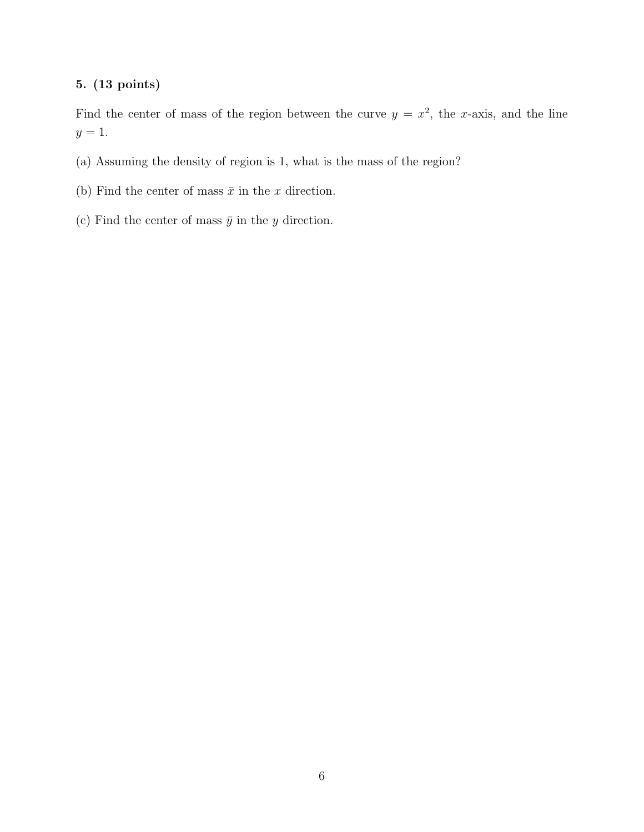#### 5. (13 points)

Find the center of mass of the region between the curve  $y = x^2$ , the x-axis, and the line  $y=1$ .

- (a) Assuming the density of region is 1, what is the mass of the region?
- (b) Find the center of mass  $\bar{x}$  in the x direction.
- (c) Find the center of mass  $\bar{y}$  in the y direction.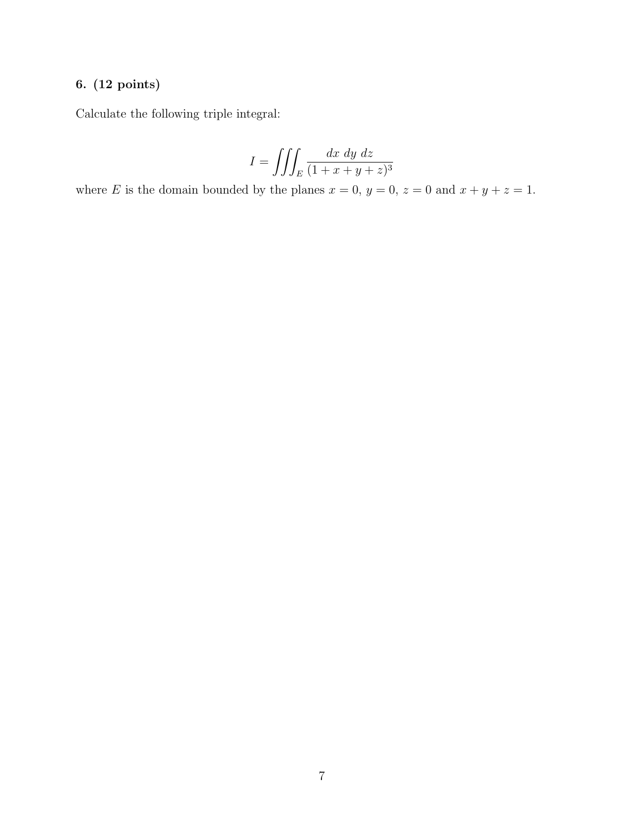### 6. (12 points)

Calculate the following triple integral:

$$
I = \iiint_E \frac{dx \, dy \, dz}{(1 + x + y + z)^3}
$$

where E is the domain bounded by the planes  $x = 0$ ,  $y = 0$ ,  $z = 0$  and  $x + y + z = 1$ .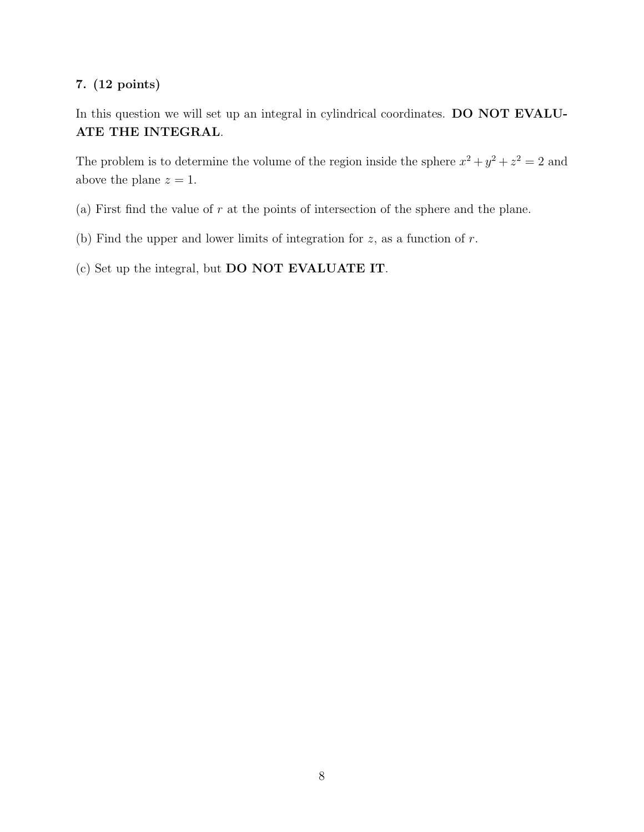#### 7. (12 points)

In this question we will set up an integral in cylindrical coordinates. DO NOT EVALU-ATE THE INTEGRAL.

The problem is to determine the volume of the region inside the sphere  $x^2 + y^2 + z^2 = 2$  and above the plane  $z = 1$ .

- (a) First find the value of  $r$  at the points of intersection of the sphere and the plane.
- (b) Find the upper and lower limits of integration for  $z$ , as a function of  $r$ .

(c) Set up the integral, but DO NOT EVALUATE IT.